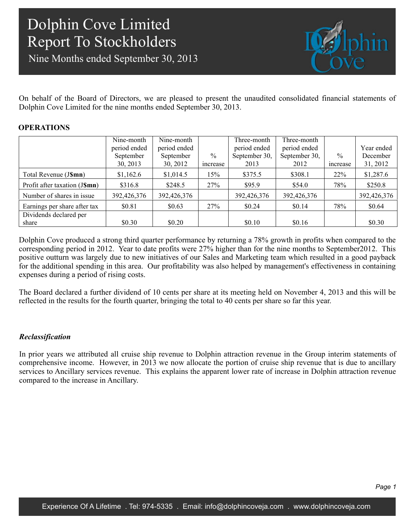Nine Months ended September 30, 2013



On behalf of the Board of Directors, we are pleased to present the unaudited consolidated financial statements of Dolphin Cove Limited for the nine months ended September 30, 2013.

### **OPERATIONS**

|                               | Nine-month   | Nine-month   |                | Three-month   | Three-month   |                |             |
|-------------------------------|--------------|--------------|----------------|---------------|---------------|----------------|-------------|
|                               | period ended | period ended |                | period ended  | period ended  |                | Year ended  |
|                               | September    | September    | $\%$           | September 30, | September 30, | $\frac{0}{0}$  | December    |
|                               | 30, 2013     | 30, 2012     | <i>ncrease</i> | 2013          | 2012          | <i>ncrease</i> | 31, 2012    |
| Total Revenue (J\$mn)         | \$1,162.6    | \$1,014.5    | 15%            | \$375.5       | \$308.1       | 22%            | \$1,287.6   |
| Profit after taxation (J\$mn) | \$316.8      | \$248.5      | 27%            | \$95.9        | \$54.0        | 78%            | \$250.8     |
| Number of shares in issue     | 392,426,376  | 392,426,376  |                | 392,426,376   | 392,426,376   |                | 392,426,376 |
| Earnings per share after tax  | \$0.81       | \$0.63       | 27%            | \$0.24        | \$0.14        | 78%            | \$0.64      |
| Dividends declared per        |              |              |                |               |               |                |             |
| share                         | \$0.30       | \$0.20       |                | \$0.10        | \$0.16        |                | \$0.30      |

Dolphin Cove produced a strong third quarter performance by returning a 78% growth in profits when compared to the corresponding period in 2012. Year to date profits were 27% higher than for the nine months to September2012. This positive outturn was largely due to new initiatives of our Sales and Marketing team which resulted in a good payback for the additional spending in this area. Our profitability was also helped by management's effectiveness in containing expenses during a period of rising costs.

The Board declared a further dividend of 10 cents per share at its meeting held on November 4, 2013 and this will be reflected in the results for the fourth quarter, bringing the total to 40 cents per share so far this year.

### *Reclassification*

In prior years we attributed all cruise ship revenue to Dolphin attraction revenue in the Group interim statements of comprehensive income. However, in 2013 we now allocate the portion of cruise ship revenue that is due to ancillary services to Ancillary services revenue. This explains the apparent lower rate of increase in Dolphin attraction revenue compared to the increase in Ancillary.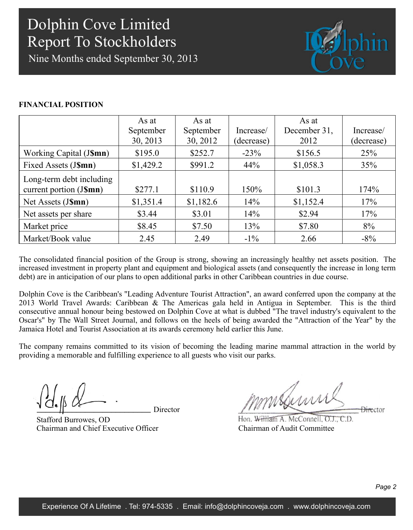Nine Months ended September 30, 2013



### **FINANCIAL POSITION**

|                          | As at     | As at     |            | As at        |            |
|--------------------------|-----------|-----------|------------|--------------|------------|
|                          | September | September | Increase/  | December 31, | Increase/  |
|                          | 30, 2013  | 30, 2012  | (decrease) | 2012         | (decrease) |
| Working Capital (J\$mn)  | \$195.0   | \$252.7   | $-23%$     | \$156.5      | 25%        |
| Fixed Assets (J\$mn)     | \$1,429.2 | \$991.2   | 44%        | \$1,058.3    | 35%        |
| Long-term debt including |           |           |            |              |            |
| current portion (J\$mn)  | \$277.1   | \$110.9   | 150%       | \$101.3      | 174%       |
| Net Assets (J\$mn)       | \$1,351.4 | \$1,182.6 | 14%        | \$1,152.4    | 17%        |
| Net assets per share     | \$3.44    | \$3.01    | 14%        | \$2.94       | 17%        |
| Market price             | \$8.45    | \$7.50    | 13%        | \$7.80       | 8%         |
| Market/Book value        | 2.45      | 2.49      | $-1\%$     | 2.66         | $-8\%$     |

The consolidated financial position of the Group is strong, showing an increasingly healthy net assets position. The increased investment in property plant and equipment and biological assets (and consequently the increase in long term debt) are in anticipation of our plans to open additional parks in other Caribbean countries in due course.

Dolphin Cove is the Caribbean's "Leading Adventure Tourist Attraction", an award conferred upon the company at the 2013 World Travel Awards: Caribbean & The Americas gala held in Antigua in September. This is the third consecutive annual honour being bestowed on Dolphin Cove at what is dubbed "The travel industry's equivalent to the Oscar's" by The Wall Street Journal, and follows on the heels of being awarded the "Attraction of the Year" by the Jamaica Hotel and Tourist Association at its awards ceremony held earlier this June.

The company remains committed to its vision of becoming the leading marine mammal attraction in the world by providing a memorable and fulfilling experience to all guests who visit our parks.

Director

Stafford Burrowes, OD Chairman and Chief Executive Officer

mmsferni **Director** 

Hon. William A. McConnell. O.J., C.D. Chairman of Audit Committee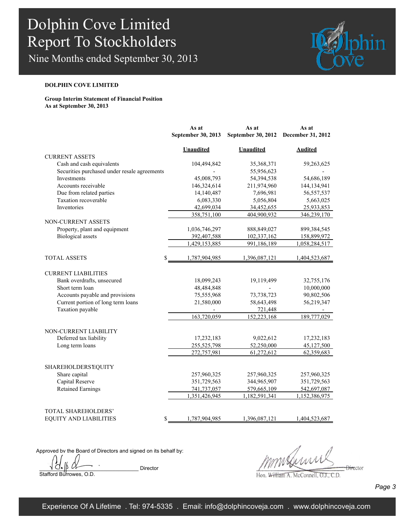Nine Months ended September 30, 2013



### **DOLPHIN COVE LIMITED**

**Group Interim Statement of Financial Position As at September 30, 2013**

|                                                          | As at                    | As at                  | As at             |
|----------------------------------------------------------|--------------------------|------------------------|-------------------|
|                                                          | September 30, 2013       | September 30, 2012     | December 31, 2012 |
|                                                          | <b>Unaudited</b>         | <b>Unaudited</b>       | <b>Audited</b>    |
| <b>CURRENT ASSETS</b>                                    |                          |                        |                   |
| Cash and cash equivalents                                | 104,494,842              | 35,368,371             | 59,263,625        |
| Securities purchased under resale agreements             |                          | 55,956,623             |                   |
| Investments                                              | 45,008,793               | 54,394,538             | 54,686,189        |
| Accounts receivable                                      | 146,324,614              | 211,974,960            | 144,134,941       |
| Due from related parties                                 | 14,140,487               | 7,696,981              | 56, 557, 537      |
| Taxation recoverable                                     | 6,083,330                | 5,056,804              | 5,663,025         |
| Inventories                                              | 42,699,034               | 34,452,655             | 25,933,853        |
|                                                          | 358,751,100              | 404,900,932            | 346,239,170       |
| NON-CURRENT ASSETS                                       |                          |                        |                   |
| Property, plant and equipment                            | 1,036,746,297            | 888, 849, 027          | 899,384,545       |
| <b>Biological</b> assets                                 | 392,407,588              | 102,337,162            | 158,899,972       |
|                                                          | 1,429,153,885            | 991,186,189            | 1,058,284,517     |
|                                                          |                          |                        |                   |
| <b>TOTAL ASSETS</b><br>\$                                | 1,787,904,985            | 1,396,087,121          | 1,404,523,687     |
|                                                          |                          |                        |                   |
| <b>CURRENT LIABILITIES</b><br>Bank overdrafts, unsecured |                          |                        | 32,755,176        |
| Short term loan                                          | 18,099,243<br>48,484,848 | 19,119,499             | 10,000,000        |
| Accounts payable and provisions                          | 75,555,968               | 73,738,723             | 90,802,506        |
|                                                          |                          |                        |                   |
| Current portion of long term loans<br>Taxation payable   | 21,580,000               | 58,643,498             | 56,219,347        |
|                                                          | 163,720,059              | 721,448<br>152,223,168 | 189,777,029       |
|                                                          |                          |                        |                   |
| NON-CURRENT LIABILITY                                    |                          |                        |                   |
| Deferred tax liability                                   | 17,232,183               | 9,022,612              | 17,232,183        |
| Long term loans                                          | 255,525,798              | 52,250,000             | 45,127,500        |
|                                                          | 272,757,981              | 61,272,612             | 62,359,683        |
|                                                          |                          |                        |                   |
| <b>SHAREHOLDERS EQUITY</b>                               |                          |                        |                   |
| Share capital                                            | 257,960,325              | 257,960,325            | 257,960,325       |
| Capital Reserve                                          | 351,729,563              | 344,965,907            | 351,729,563       |
| <b>Retained Earnings</b>                                 | 741,737,057              | 579,665,109            | 542,697,087       |
|                                                          | 1,351,426,945            | 1,182,591,341          | 1,152,386,975     |
|                                                          |                          |                        |                   |
| TOTAL SHAREHOLDERS'                                      |                          |                        |                   |
| <b>EQUITY AND LIABILITIES</b><br>\$                      | 1,787,904,985            | 1,396,087,121          | 1,404,523,687     |

Approved by the Board of Directors and signed on its behalf by:

 $\forall$   $\overline{C}$   $\downarrow$   $\beta$   $\alpha$   $\rightarrow$   $\qquad$  Director Stafford Burrowes, O.D.

 $\frac{1}{2}$ 

Hon. William A. McConnell, O.J., C.D.

*Page 3*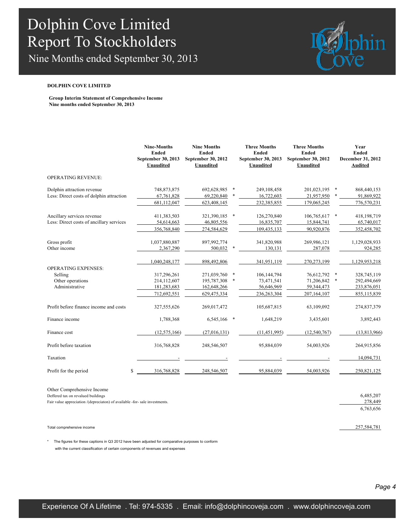Nine Months ended September 30, 2013



#### **DOLPHIN COVE LIMITED**

**Group Interim Statement of Comprehensive Income Nine months ended September 30, 2013**

|                                                                        | <b>Nine-Months</b><br><b>Ended</b><br>September 30, 2013<br><b>Unaudited</b> | <b>Nine Months</b><br><b>Ended</b><br>September 30, 2012<br>Unaudited |        | <b>Three Months</b><br><b>Ended</b><br>September 30, 2013<br>Unaudited | <b>Three Months</b><br><b>Ended</b><br>September 30, 2012<br><b>Unaudited</b> |        | Year<br><b>Ended</b><br>December 31, 2012<br><b>Audited</b> |
|------------------------------------------------------------------------|------------------------------------------------------------------------------|-----------------------------------------------------------------------|--------|------------------------------------------------------------------------|-------------------------------------------------------------------------------|--------|-------------------------------------------------------------|
| <b>OPERATING REVENUE:</b>                                              |                                                                              |                                                                       |        |                                                                        |                                                                               |        |                                                             |
| Dolphin attraction revenue                                             | 748,873,875                                                                  | 692,628,985                                                           | $\ast$ | 249,108,458                                                            | 201,023,195                                                                   | $\ast$ | 868,440,153                                                 |
| Less: Direct costs of dolphin attraction                               | 67,761,828<br>681,112,047                                                    | 69,220,840<br>623,408,145                                             |        | 16,722,603<br>232,385,855                                              | 21,957,950<br>179,065,245                                                     |        | 91,869,922<br>776,570,231                                   |
|                                                                        |                                                                              |                                                                       |        |                                                                        |                                                                               |        |                                                             |
| Ancillary services revenue<br>Less: Direct costs of ancillary services | 411,383,503                                                                  | 321,390,185                                                           | $\ast$ | 126,270,840                                                            | 106,765,617                                                                   | $\ast$ | 418,198,719                                                 |
|                                                                        | 54,614,663<br>356,768,840                                                    | 46,805,556<br>274,584,629                                             |        | 16,835,707<br>109,435,133                                              | 15,844,741<br>90,920,876                                                      |        | 65,740,017<br>352,458,702                                   |
| Gross profit                                                           | 1,037,880,887                                                                | 897,992,774                                                           |        | 341,820,988                                                            | 269,986,121                                                                   |        | 1,129,028,933                                               |
| Other income                                                           | 2,367,290                                                                    | 500,032                                                               |        | 130,131                                                                | 287,078                                                                       |        | 924,285                                                     |
|                                                                        | 1,040,248,177                                                                | 898,492,806                                                           |        | 341,951,119                                                            | 270, 273, 199                                                                 |        | 1,129,953,218                                               |
| <b>OPERATING EXPENSES:</b><br>Selling                                  | 317,296,261                                                                  | 271,039,760                                                           | *      | 106,144,794                                                            | 76,612,792                                                                    | $\ast$ | 328,745,119                                                 |
| Other operations                                                       | 214,112,607                                                                  | 195,787,308                                                           | $\ast$ | 73,471,541                                                             | 71,206,842                                                                    | $\ast$ | 292,494,669                                                 |
| Administrative                                                         | 181,283,683                                                                  | 162,648,266                                                           |        | 56,646,969                                                             | 59,344,473                                                                    |        | 233,876,051                                                 |
|                                                                        | 712,692,551                                                                  | 629,475,334                                                           |        | 236, 263, 304                                                          | 207,164,107                                                                   |        | 855,115,839                                                 |
| Profit before finance income and costs                                 | 327,555,626                                                                  | 269,017,472                                                           |        | 105,687,815                                                            | 63,109,092                                                                    |        | 274,837,379                                                 |
| Finance income                                                         | 1,788,368                                                                    | 6,545,166                                                             | $\ast$ | 1,648,219                                                              | 3,435,601                                                                     |        | 3,892,443                                                   |
| Finance cost                                                           | (12, 575, 166)                                                               | (27,016,131)                                                          |        | (11, 451, 995)                                                         | (12, 540, 767)                                                                |        | (13,813,966)                                                |
| Profit before taxation                                                 | 316,768,828                                                                  | 248,546,507                                                           |        | 95,884,039                                                             | 54,003,926                                                                    |        | 264,915,856                                                 |
| Taxation                                                               |                                                                              |                                                                       |        |                                                                        |                                                                               |        | 14,094,731                                                  |
| Profit for the period                                                  | \$<br>316,768,828                                                            | 248,546,507                                                           |        | 95,884,039                                                             | 54,003,926                                                                    |        | 250,821,125                                                 |

Other Comprehensive Income

Deffered tax on revalued buildings 6,485,207

Fair value appreciation /(depreciaton) of available -for- sale investments. 278,449

Total comprehensive income 257,584,781

\* The figures for these captions in Q3 2012 have been adjusted for comparative purposes to conform with the current classification of certain components of revenues and expenses

6,763,656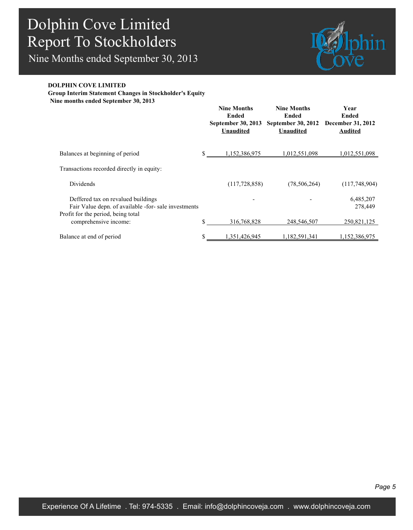Nine Months ended September 30, 2013



### **DOLPHIN COVE LIMITED**

**Group Interim Statement Changes in Stockholder's Equity**

**Nine months ended September 30, 2013**

|                                                                                                                                  | <b>Nine Months</b><br>Ended<br>September 30, 2013<br><b>Unaudited</b> | <b>Nine Months</b><br>Ended<br><b>September 30, 2012</b><br><b>Unaudited</b> | Year<br>Ended<br><b>December 31, 2012</b><br><b>Audited</b> |
|----------------------------------------------------------------------------------------------------------------------------------|-----------------------------------------------------------------------|------------------------------------------------------------------------------|-------------------------------------------------------------|
| Balances at beginning of period                                                                                                  | \$<br>1,152,386,975                                                   | 1,012,551,098                                                                | 1,012,551,098                                               |
| Transactions recorded directly in equity:                                                                                        |                                                                       |                                                                              |                                                             |
| Dividends                                                                                                                        | (117,728,858)                                                         | (78, 506, 264)                                                               | (117,748,904)                                               |
| Deffered tax on revalued buildings<br>Fair Value depn. of available -for- sale investments<br>Profit for the period, being total |                                                                       |                                                                              | 6,485,207<br>278,449                                        |
| comprehensive income:                                                                                                            | \$<br>316,768,828                                                     | 248,546,507                                                                  | 250,821,125                                                 |
| Balance at end of period                                                                                                         | \$<br>1,351,426,945                                                   | 1,182,591,341                                                                | 1,152,386,975                                               |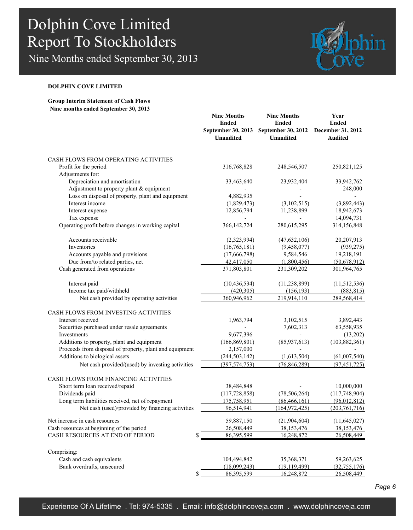Nine Months ended September 30, 2013



### **DOLPHIN COVE LIMITED**

### **Group Interim Statement of Cash Flows Nine months ended September 30, 2013**

|                                                         | <b>Nine Months</b><br><b>Ended</b><br>September 30, 2013<br><b>Unaudited</b> | <b>Nine Months</b><br><b>Ended</b><br>September 30, 2012<br><b>Unaudited</b> | Year<br><b>Ended</b><br>December 31, 2012<br><b>Audited</b> |
|---------------------------------------------------------|------------------------------------------------------------------------------|------------------------------------------------------------------------------|-------------------------------------------------------------|
| CASH FLOWS FROM OPERATING ACTIVITIES                    |                                                                              |                                                                              |                                                             |
| Profit for the period                                   | 316,768,828                                                                  | 248,546,507                                                                  | 250,821,125                                                 |
| Adjustments for:                                        |                                                                              |                                                                              |                                                             |
| Depreciation and amortisation                           | 33,463,640                                                                   | 23,932,404                                                                   | 33,942,762                                                  |
| Adjustment to property plant & equipment                |                                                                              |                                                                              | 248,000                                                     |
| Loss on disposal of property, plant and equipment       | 4,882,935                                                                    |                                                                              |                                                             |
| Interest income                                         | (1,829,473)                                                                  | (3,102,515)                                                                  | (3,892,443)                                                 |
| Interest expense                                        | 12,856,794                                                                   | 11,238,899                                                                   | 18,942,673                                                  |
| Tax expense                                             |                                                                              |                                                                              | 14,094,731                                                  |
| Operating profit before changes in working capital      | 366, 142, 724                                                                | 280,615,295                                                                  | 314,156,848                                                 |
| Accounts receivable                                     | (2,323,994)                                                                  | (47, 632, 106)                                                               | 20,207,913                                                  |
| Inventories                                             | (16, 765, 181)                                                               | (9,458,077)                                                                  | (939, 275)                                                  |
| Accounts payable and provisions                         | (17,666,798)                                                                 | 9,584,546                                                                    | 19,218,191                                                  |
| Due from/to related parties, net                        | 42,417,050                                                                   | (1,800,456)                                                                  | (50,678,912)                                                |
| Cash generated from operations                          | 371,803,801                                                                  | 231,309,202                                                                  | 301,964,765                                                 |
| Interest paid                                           | (10, 436, 534)                                                               | (11, 238, 899)                                                               | (11,512,536)                                                |
| Income tax paid/withheld                                | (420, 305)                                                                   | (156, 193)                                                                   | (883, 815)                                                  |
| Net cash provided by operating activities               | 360,946,962                                                                  | 219,914,110                                                                  | 289,568,414                                                 |
| CASH FLOWS FROM INVESTING ACTIVITIES                    |                                                                              |                                                                              |                                                             |
| Interest received                                       | 1,963,794                                                                    | 3,102,515                                                                    | 3,892,443                                                   |
| Securities purchased under resale agreements            |                                                                              | 7,602,313                                                                    | 63,558,935                                                  |
| Investments                                             | 9,677,396                                                                    |                                                                              | (13,202)                                                    |
| Additions to property, plant and equipment              | (166, 869, 801)                                                              | (85,937,613)                                                                 | (103, 882, 361)                                             |
| Proceeds from disposal of property, plant and equipment | 2,157,000                                                                    |                                                                              |                                                             |
| Additions to biological assets                          | (244, 503, 142)                                                              | (1,613,504)                                                                  | (61,007,540)                                                |
| Net cash provided/(used) by investing activities        | (397, 574, 753)                                                              | (76, 846, 289)                                                               | (97, 451, 725)                                              |
| CASH FLOWS FROM FINANCING ACTIVITIES                    |                                                                              |                                                                              |                                                             |
| Short term loan received/repaid                         | 38,484,848                                                                   |                                                                              | 10,000,000                                                  |
| Dividends paid                                          | (117, 728, 858)                                                              | (78, 506, 264)                                                               | (117,748,904)                                               |
| Long term liabilities received, net of repayment        | 175,758,951                                                                  | (86, 466, 161)                                                               | (96,012,812)                                                |
| Net cash (used)/provided by financing activities        | 96,514,941                                                                   | (164, 972, 425)                                                              | (203, 761, 716)                                             |
| Net increase in cash resources                          | 59,887,150                                                                   |                                                                              |                                                             |
| Cash resources at beginning of the period               | 26,508,449                                                                   | (21,904,604)<br>38,153,476                                                   | (11, 645, 027)                                              |
| CASH RESOURCES AT END OF PERIOD<br>\$                   | 86,395,599                                                                   | 16,248,872                                                                   | <u>38,153,476</u><br>26,508,449                             |
|                                                         |                                                                              |                                                                              |                                                             |
| Comprising:                                             |                                                                              |                                                                              |                                                             |
| Cash and cash equivalents                               | 104,494,842                                                                  | 35,368,371                                                                   | 59,263,625                                                  |
| Bank overdrafts, unsecured                              | (18,099,243)                                                                 | (19, 119, 499)                                                               | (32, 755, 176)                                              |
| \$                                                      | 86,395,599                                                                   | 16,248,872                                                                   | 26,508,449                                                  |

*Page 6*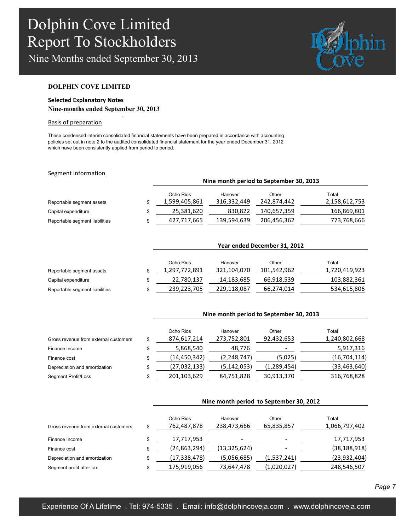Nine Months ended September 30, 2013

.



#### **DOLPHIN COVE LIMITED**

### **Selected Explanatory Notes Nine-months ended September 30, 2013**

#### Basis of preparation

These condensed interim consolidated financial statements have been prepared in accordance with accounting policies set out in note 2 to the audited consolidated financial statement for the year ended December 31, 2012 which have been consistently applied from period to period.

#### Segment information

|                                | Nine month period to September 30, 2013 |                        |                      |                        |  |  |  |
|--------------------------------|-----------------------------------------|------------------------|----------------------|------------------------|--|--|--|
| Reportable segment assets      | Ocho Rios<br>1,599,405,861              | Hanover<br>316,332,449 | Other<br>242,874,442 | Total<br>2,158,612,753 |  |  |  |
| Capital expenditure            | 25,381,620                              | 830,822                | 140,657,359          | 166,869,801            |  |  |  |
| Reportable segment liabilities | 427,717,665                             | 139,594,639            | 206,456,362          | 773,768,666            |  |  |  |

|                                |   | Year ended December 31, 2012 |             |             |               |  |  |  |
|--------------------------------|---|------------------------------|-------------|-------------|---------------|--|--|--|
|                                |   | Ocho Rios                    | Hanover     | Other       | Total         |  |  |  |
| Reportable segment assets      |   | 1,297,772,891                | 321,104,070 | 101,542,962 | 1,720,419,923 |  |  |  |
| Capital expenditure            |   | 22,780,137                   | 14,183,685  | 66,918,539  | 103,882,361   |  |  |  |
| Reportable segment liabilities | S | 239,223,705                  | 229,118,087 | 66,274,014  | 534,615,806   |  |  |  |

|                                       | Nine month period to September 30, 2013 |               |             |                |  |  |
|---------------------------------------|-----------------------------------------|---------------|-------------|----------------|--|--|
|                                       | Ocho Rios                               | Hanover       | Other       | Total          |  |  |
| Gross revenue from external customers | \$<br>874,617,214                       | 273,752,801   | 92,432,653  | 1,240,802,668  |  |  |
| Finance Income                        | \$<br>5,868,540                         | 48,776        |             | 5,917,316      |  |  |
| Finance cost                          | \$<br>(14,450,342)                      | (2, 248, 747) | (5,025)     | (16, 704, 114) |  |  |
| Depreciation and amortization         | \$<br>(27,032,133)                      | (5, 142, 053) | (1,289,454) | (33, 463, 640) |  |  |
| Segment Profit/Loss                   | \$<br>201,103,629                       | 84,751,828    | 30,913,370  | 316,768,828    |  |  |

|                                       | Nine month period to September 30, 2012 |                        |                     |                        |  |  |
|---------------------------------------|-----------------------------------------|------------------------|---------------------|------------------------|--|--|
| Gross revenue from external customers | \$<br>Ocho Rios<br>762,487,878          | Hanover<br>238,473,666 | Other<br>65,835,857 | Total<br>1,066,797,402 |  |  |
| Finance Income                        | \$<br>17,717,953                        |                        |                     | 17,717,953             |  |  |
| Finance cost                          | \$<br>(24, 863, 294)                    | (13, 325, 624)         |                     | (38, 188, 918)         |  |  |
| Depreciation and amortization         | \$<br>(17, 338, 478)                    | (5,056,685)            | (1,537,241)         | (23, 932, 404)         |  |  |
| Segment profit after tax              | \$<br>175,919,056                       | 73,647,478             | (1,020,027)         | 248,546,507            |  |  |